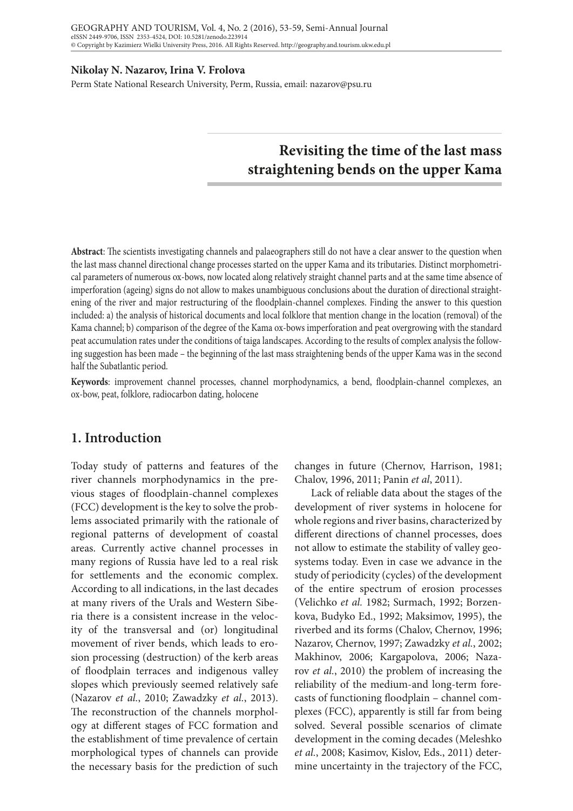#### **Nikolay N. Nazarov, Irina V. Frolova**

Perm State National Research University, Perm, Russia, email: nazarov@psu.ru

# **Revisiting the time of the last mass straightening bends on the upper Kama**

**Abstract**: The scientists investigating channels and palaeographers still do not have a clear answer to the question when the last mass channel directional change processes started on the upper Kama and its tributaries. Distinct morphometrical parameters of numerous ox-bows, now located along relatively straight channel parts and at the same time absence of imperforation (ageing) signs do not allow to makes unambiguous conclusions about the duration of directional straightening of the river and major restructuring of the floodplain-channel complexes. Finding the answer to this question included: a) the analysis of historical documents and local folklore that mention change in the location (removal) of the Kama channel; b) comparison of the degree of the Kama ox-bows imperforation and peat overgrowing with the standard peat accumulation rates under the conditions of taiga landscapes. According to the results of complex analysis the following suggestion has been made – the beginning of the last mass straightening bends of the upper Kama was in the second half the Subatlantic period.

**Keywords**: improvement channel processes, channel morphodynamics, a bend, floodplain-channel complexes, an ox-bow, peat, folklore, radiocarbon dating, holocene

### **1. Introduction**

Today study of patterns and features of the river channels morphodynamics in the previous stages of floodplain-channel complexes (FCC) development is the key to solve the problems associated primarily with the rationale of regional patterns of development of coastal areas. Currently active channel processes in many regions of Russia have led to a real risk for settlements and the economic complex. According to all indications, in the last decades at many rivers of the Urals and Western Siberia there is a consistent increase in the velocity of the transversal and (or) longitudinal movement of river bends, which leads to erosion processing (destruction) of the kerb areas of floodplain terraces and indigenous valley slopes which previously seemed relatively safe (Nazarov *et al.*, 2010; Zawadzky *et al.*, 2013). The reconstruction of the channels morphology at different stages of FCC formation and the establishment of time prevalence of certain morphological types of channels can provide the necessary basis for the prediction of such

changes in future (Chernov, Harrison, 1981; Chalov, 1996, 2011; Panin *et al*, 2011).

Lack of reliable data about the stages of the development of river systems in holocene for whole regions and river basins, characterized by different directions of channel processes, does not allow to estimate the stability of valley geosystems today. Even in case we advance in the study of periodicity (cycles) of the development of the entire spectrum of erosion processes (Velichko *et al.* 1982; Surmach, 1992; Borzenkova, Budyko Ed., 1992; Maksimov, 1995), the riverbed and its forms (Chalov, Chernov, 1996; Nazarov, Chernov, 1997; Zawadzky *et al.*, 2002; Makhinov, 2006; Kargapolova, 2006; Nazarov *et al.*, 2010) the problem of increasing the reliability of the medium-and long-term forecasts of functioning floodplain – channel complexes (FCC), apparently is still far from being solved. Several possible scenarios of climate development in the coming decades (Meleshko *et al.*, 2008; Kasimov, Kislov, Eds., 2011) determine uncertainty in the trajectory of the FCC,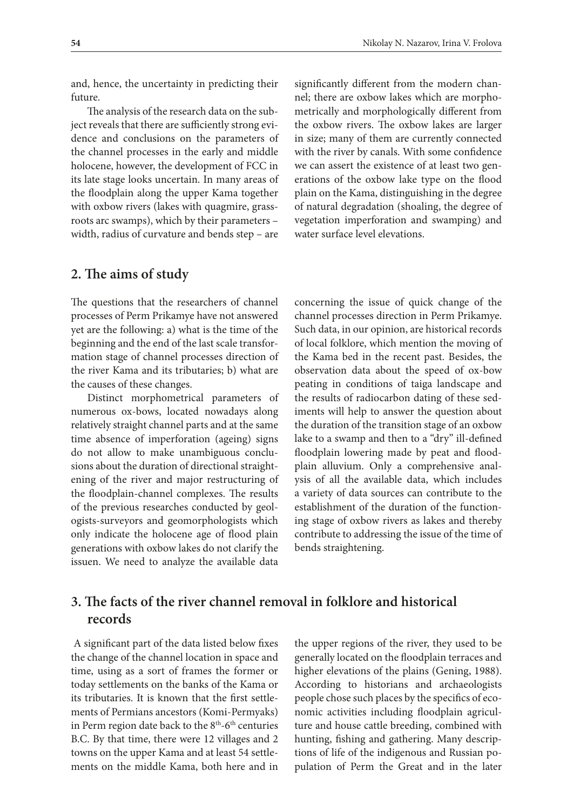and, hence, the uncertainty in predicting their future.

The analysis of the research data on the subject reveals that there are sufficiently strong evidence and conclusions on the parameters of the channel processes in the early and middle holocene, however, the development of FCC in its late stage looks uncertain. In many areas of the floodplain along the upper Kama together with oxbow rivers (lakes with quagmire, grassroots arc swamps), which by their parameters – width, radius of curvature and bends step – are

### **2. The aims of study**

The questions that the researchers of channel processes of Perm Prikamye have not answered yet are the following: a) what is the time of the beginning and the end of the last scale transformation stage of channel processes direction of the river Kama and its tributaries; b) what are the causes of these changes.

Distinct morphometrical parameters of numerous ox-bows, located nowadays along relatively straight channel parts and at the same time absence of imperforation (ageing) signs do not allow to make unambiguous conclusions about the duration of directional straightening of the river and major restructuring of the floodplain-channel complexes. The results of the previous researches conducted by geologists-surveyors and geomorphologists which only indicate the holocene age of flood plain generations with oxbow lakes do not clarify the issuen. We need to analyze the available data

significantly different from the modern channel; there are oxbow lakes which are morphometrically and morphologically different from the oxbow rivers. The oxbow lakes are larger in size; many of them are currently connected with the river by canals. With some confidence we can assert the existence of at least two generations of the oxbow lake type on the flood plain on the Kama, distinguishing in the degree of natural degradation (shoaling, the degree of vegetation imperforation and swamping) and water surface level elevations.

concerning the issue of quick change of the channel processes direction in Perm Prikamye. Such data, in our opinion, are historical records of local folklore, which mention the moving of the Kama bed in the recent past. Besides, the observation data about the speed of ox-bow peating in conditions of taiga landscape and the results of radiocarbon dating of these sediments will help to answer the question about the duration of the transition stage of an oxbow lake to a swamp and then to a "dry" ill-defined floodplain lowering made by peat and floodplain alluvium. Only a comprehensive analysis of all the available data, which includes a variety of data sources can contribute to the establishment of the duration of the functioning stage of oxbow rivers as lakes and thereby contribute to addressing the issue of the time of bends straightening.

## **3. The facts of the river channel removal in folklore and historical records**

 A significant part of the data listed below fixes the change of the channel location in space and time, using as a sort of frames the former or today settlements on the banks of the Kama or its tributaries. It is known that the first settlements of Permians ancestors (Komi-Permyaks) in Perm region date back to the 8<sup>th</sup>-6<sup>th</sup> centuries B.C. By that time, there were 12 villages and 2 towns on the upper Kama and at least 54 settlements on the middle Kama, both here and in

the upper regions of the river, they used to be generally located on the floodplain terraces and higher elevations of the plains (Gening, 1988). According to historians and archaeologists people chose such places by the specifics of economic activities including floodplain agriculture and house cattle breeding, combined with hunting, fishing and gathering. Many descriptions of life of the indigenous and Russian population of Perm the Great and in the later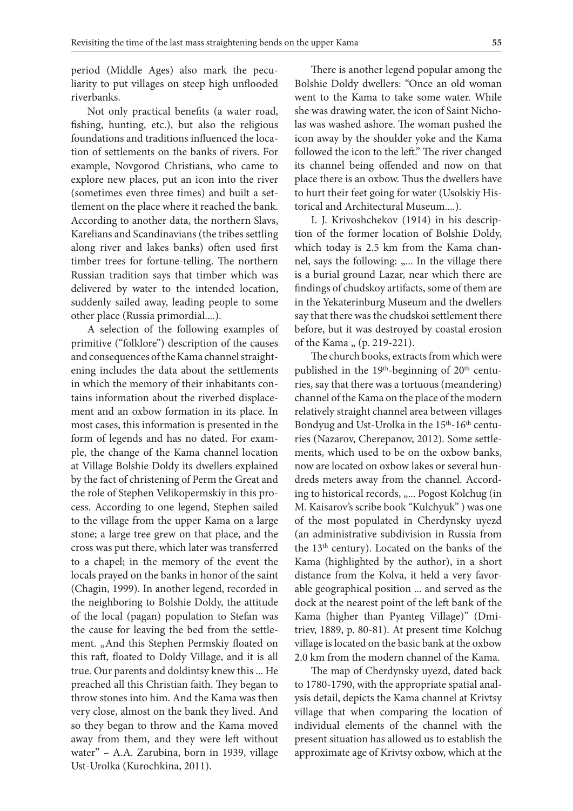period (Middle Ages) also mark the peculiarity to put villages on steep high unflooded riverbanks.

Not only practical benefits (a water road, fishing, hunting, etc.), but also the religious foundations and traditions influenced the location of settlements on the banks of rivers. For example, Novgorod Christians, who came to explore new places, put an icon into the river (sometimes even three times) and built a settlement on the place where it reached the bank. According to another data, the northern Slavs, Karelians and Scandinavians (the tribes settling along river and lakes banks) often used first timber trees for fortune-telling. The northern Russian tradition says that timber which was delivered by water to the intended location, suddenly sailed away, leading people to some other place (Russia primordial....).

A selection of the following examples of primitive ("folklore") description of the causes and consequences of the Kama channel straightening includes the data about the settlements in which the memory of their inhabitants contains information about the riverbed displacement and an oxbow formation in its place. In most cases, this information is presented in the form of legends and has no dated. For example, the change of the Kama channel location at Village Bolshie Doldy its dwellers explained by the fact of christening of Perm the Great and the role of Stephen Velikopermskiy in this process. According to one legend, Stephen sailed to the village from the upper Kama on a large stone; a large tree grew on that place, and the cross was put there, which later was transferred to a chapel; in the memory of the event the locals prayed on the banks in honor of the saint (Chagin, 1999). In another legend, recorded in the neighboring to Bolshie Doldy, the attitude of the local (pagan) population to Stefan was the cause for leaving the bed from the settlement. "And this Stephen Permskiy floated on this raft, floated to Doldy Village, and it is all true. Our parents and doldintsy knew this ... He preached all this Christian faith. They began to throw stones into him. And the Kama was then very close, almost on the bank they lived. And so they began to throw and the Kama moved away from them, and they were left without water" – A.A. Zarubina, born in 1939, village Ust-Urolka (Kurochkina, 2011).

There is another legend popular among the Bolshie Doldy dwellers: "Once an old woman went to the Kama to take some water. While she was drawing water, the icon of Saint Nicholas was washed ashore. The woman pushed the icon away by the shoulder yoke and the Kama followed the icon to the left." The river changed its channel being offended and now on that place there is an oxbow. Thus the dwellers have to hurt their feet going for water (Usolskiy Historical and Architectural Museum....).

I. J. Krivoshchekov (1914) in his description of the former location of Bolshie Doldy, which today is 2.5 km from the Kama channel, says the following: "... In the village there is a burial ground Lazar, near which there are findings of chudskoy artifacts, some of them are in the Yekaterinburg Museum and the dwellers say that there was the chudskoi settlement there before, but it was destroyed by coastal erosion of the Kama " (p. 219-221).

The church books, extracts from which were published in the  $19<sup>th</sup>$ -beginning of  $20<sup>th</sup>$  centuries, say that there was a tortuous (meandering) channel of the Kama on the place of the modern relatively straight channel area between villages Bondyug and Ust-Urolka in the 15<sup>th</sup>-16<sup>th</sup> centuries (Nazarov, Cherepanov, 2012). Some settlements, which used to be on the oxbow banks, now are located on oxbow lakes or several hundreds meters away from the channel. According to historical records, "... Pogost Kolchug (in M. Kaisarov's scribe book "Kulchyuk" ) was one of the most populated in Cherdynsky uyezd (an administrative subdivision in Russia from the 13th century). Located on the banks of the Kama (highlighted by the author), in a short distance from the Kolva, it held a very favorable geographical position ... and served as the dock at the nearest point of the left bank of the Kama (higher than Pyanteg Village)" (Dmitriev, 1889, p. 80-81). At present time Kolchug village is located on the basic bank at the oxbow 2.0 km from the modern channel of the Kama.

The map of Cherdynsky uyezd, dated back to 1780-1790, with the appropriate spatial analysis detail, depicts the Kama channel at Krivtsy village that when comparing the location of individual elements of the channel with the present situation has allowed us to establish the approximate age of Krivtsy oxbow, which at the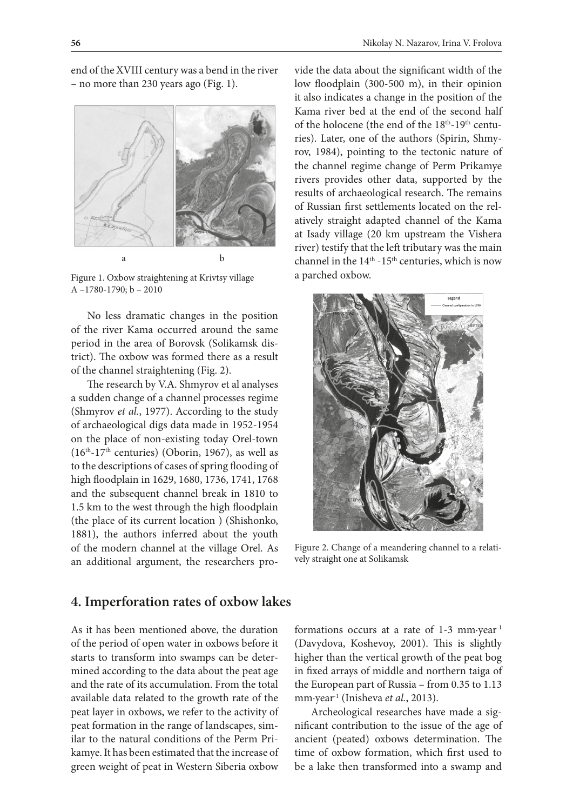end of the XVIII century was a bend in the river – no more than 230 years ago (Fig. 1).



Figure 1. Oxbow straightening at Krivtsy village A –1780-1790; b – 2010

No less dramatic changes in the position of the river Kama occurred around the same period in the area of Borovsk (Solikamsk district). The oxbow was formed there as a result of the channel straightening (Fig. 2).

The research by V.A. Shmyrov et al analyses a sudden change of a channel processes regime (Shmyrov *et al.*, 1977). According to the study of archaeological digs data made in 1952-1954 on the place of non-existing today Orel-town  $(16<sup>th</sup>-17<sup>th</sup>$  centuries) (Oborin, 1967), as well as to the descriptions of cases of spring flooding of high floodplain in 1629, 1680, 1736, 1741, 1768 and the subsequent channel break in 1810 to 1.5 km to the west through the high floodplain (the place of its current location ) (Shishonko, 1881), the authors inferred about the youth of the modern channel at the village Orel. As an additional argument, the researchers provide the data about the significant width of the low floodplain (300-500 m), in their opinion it also indicates a change in the position of the Kama river bed at the end of the second half of the holocene (the end of the 18<sup>th</sup>-19<sup>th</sup> centuries). Later, one of the authors (Spirin, Shmyrov, 1984), pointing to the tectonic nature of the channel regime change of Perm Prikamye rivers provides other data, supported by the results of archaeological research. The remains of Russian first settlements located on the relatively straight adapted channel of the Kama at Isady village (20 km upstream the Vishera river) testify that the left tributary was the main channel in the  $14<sup>th</sup>$  -15<sup>th</sup> centuries, which is now a parched oxbow.



Figure 2. Change of a meandering channel to a relatively straight one at Solikamsk

### **4. Imperforation rates of oxbow lakes**

As it has been mentioned above, the duration of the period of open water in oxbows before it starts to transform into swamps can be determined according to the data about the peat age and the rate of its accumulation. From the total available data related to the growth rate of the peat layer in oxbows, we refer to the activity of peat formation in the range of landscapes, similar to the natural conditions of the Perm Prikamye. It has been estimated that the increase of green weight of peat in Western Siberia oxbow

formations occurs at a rate of 1-3 mm·year-1 (Davydova, Koshevoy, 2001). This is slightly higher than the vertical growth of the peat bog in fixed arrays of middle and northern taiga of the European part of Russia – from 0.35 to 1.13 mm·year-1 (Inisheva *et al.*, 2013).

Archeological researches have made a significant contribution to the issue of the age of ancient (peated) oxbows determination. The time of oxbow formation, which first used to be a lake then transformed into a swamp and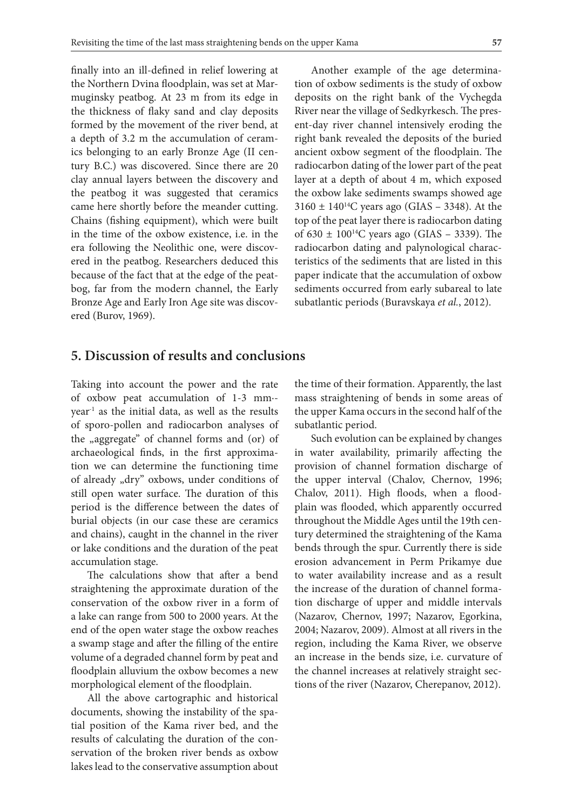finally into an ill-defined in relief lowering at the Northern Dvina floodplain, was set at Marmuginsky peatbog. At 23 m from its edge in the thickness of flaky sand and clay deposits formed by the movement of the river bend, at a depth of 3.2 m the accumulation of ceramics belonging to an early Bronze Age (II century B.C.) was discovered. Since there are 20 clay annual layers between the discovery and the peatbog it was suggested that ceramics came here shortly before the meander cutting. Chains (fishing equipment), which were built in the time of the oxbow existence, i.e. in the era following the Neolithic one, were discovered in the peatbog. Researchers deduced this because of the fact that at the edge of the peatbog, far from the modern channel, the Early Bronze Age and Early Iron Age site was discovered (Burov, 1969).

Another example of the age determination of oxbow sediments is the study of oxbow deposits on the right bank of the Vychegda River near the village of Sedkyrkesch. The present-day river channel intensively eroding the right bank revealed the deposits of the buried ancient oxbow segment of the floodplain. The radiocarbon dating of the lower part of the peat layer at a depth of about 4 m, which exposed the oxbow lake sediments swamps showed age  $3160 \pm 140^{14}$ C years ago (GIAS – 3348). At the top of the peat layer there is radiocarbon dating of 630  $\pm$  100<sup>14</sup>C years ago (GIAS – 3339). The radiocarbon dating and palynological characteristics of the sediments that are listed in this paper indicate that the accumulation of oxbow sediments occurred from early subareal to late subatlantic periods (Buravskaya *et al.*, 2012).

### **5. Discussion of results and conclusions**

Taking into account the power and the rate of oxbow peat accumulation of 1-3 mm· year-1 as the initial data, as well as the results of sporo-pollen and radiocarbon analyses of the "aggregate" of channel forms and (or) of archaeological finds, in the first approximation we can determine the functioning time of already "dry" oxbows, under conditions of still open water surface. The duration of this period is the difference between the dates of burial objects (in our case these are ceramics and chains), caught in the channel in the river or lake conditions and the duration of the peat accumulation stage.

The calculations show that after a bend straightening the approximate duration of the conservation of the oxbow river in a form of a lake can range from 500 to 2000 years. At the end of the open water stage the oxbow reaches a swamp stage and after the filling of the entire volume of a degraded channel form by peat and floodplain alluvium the oxbow becomes a new morphological element of the floodplain.

All the above cartographic and historical documents, showing the instability of the spatial position of the Kama river bed, and the results of calculating the duration of the conservation of the broken river bends as oxbow lakes lead to the conservative assumption about the time of their formation. Apparently, the last mass straightening of bends in some areas of the upper Kama occurs in the second half of the subatlantic period.

Such evolution can be explained by changes in water availability, primarily affecting the provision of channel formation discharge of the upper interval (Chalov, Chernov, 1996; Chalov, 2011). High floods, when a floodplain was flooded, which apparently occurred throughout the Middle Ages until the 19th century determined the straightening of the Kama bends through the spur. Currently there is side erosion advancement in Perm Prikamye due to water availability increase and as a result the increase of the duration of channel formation discharge of upper and middle intervals (Nazarov, Chernov, 1997; Nazarov, Egorkina, 2004; Nazarov, 2009). Almost at all rivers in the region, including the Kama River, we observe an increase in the bends size, i.e. curvature of the channel increases at relatively straight sections of the river (Nazarov, Cherepanov, 2012).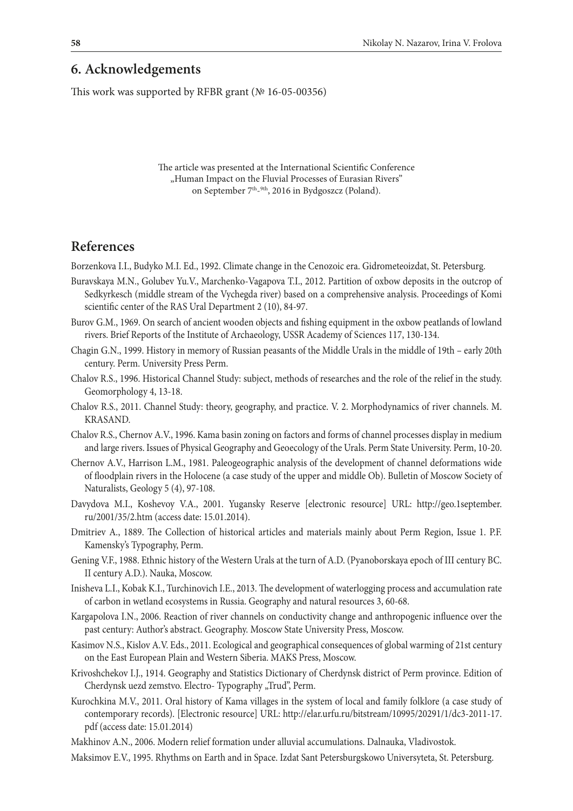### **6. Acknowledgements**

This work was supported by RFBR grant (№ 16-05-00356)

The article was presented at the International Scientific Conference "Human Impact on the Fluvial Processes of Eurasian Rivers" on September 7<sup>th</sup>-<sup>9th</sup>, 2016 in Bydgoszcz (Poland).

### **References**

Borzenkova I.I., Budyko M.I. Ed., 1992. Climate change in the Cenozoic era. Gidrometeoizdat, St. Petersburg.

- Buravskaya M.N., Golubev Yu.V., Marchenko-Vagapova T.I., 2012. Partition of oxbow deposits in the outcrop of Sedkyrkesch (middle stream of the Vychegda river) based on a comprehensive analysis. Proceedings of Komi scientific center of the RAS Ural Department 2 (10), 84-97.
- Burov G.M., 1969. On search of ancient wooden objects and fishing equipment in the oxbow peatlands of lowland rivers. Brief Reports of the Institute of Archaeology, USSR Academy of Sciences 117, 130-134.
- Chagin G.N., 1999. History in memory of Russian peasants of the Middle Urals in the middle of 19th early 20th century. Perm. University Press Perm.
- Chalov R.S., 1996. Historical Channel Study: subject, methods of researches and the role of the relief in the study. Geomorphology 4, 13-18.
- Chalov R.S., 2011. Channel Study: theory, geography, and practice. V. 2. Morphodynamics of river channels. M. KRASAND.
- Chalov R.S., Chernov A.V., 1996. Kama basin zoning on factors and forms of channel processes display in medium and large rivers. Issues of Physical Geography and Geoecology of the Urals. Perm State University. Perm, 10-20.
- Chernov A.V., Harrison L.M., 1981. Paleogeographic analysis of the development of channel deformations wide of floodplain rivers in the Holocene (a case study of the upper and middle Ob). Bulletin of Moscow Society of Naturalists, Geology 5 (4), 97-108.
- Davydova M.I., Koshevoy V.A., 2001. Yugansky Reserve [electronic resource] URL: http://geo.1september. ru/2001/35/2.htm (access date: 15.01.2014).
- Dmitriev A., 1889. The Collection of historical articles and materials mainly about Perm Region, Issue 1. P.F. Kamensky's Typography, Perm.
- Gening V.F., 1988. Ethnic history of the Western Urals at the turn of A.D. (Pyanoborskaya epoch of III century BC. II century A.D.). Nauka, Moscow.
- Inisheva L.I., Kobak K.I., Turchinovich I.E., 2013. The development of waterlogging process and accumulation rate of carbon in wetland ecosystems in Russia. Geography and natural resources 3, 60-68.
- Kargapolova I.N., 2006. Reaction of river channels on conductivity change and anthropogenic influence over the past century: Author's abstract. Geography. Moscow State University Press, Moscow.
- Kasimov N.S., Kislov A.V. Eds., 2011. Ecological and geographical consequences of global warming of 21st century on the East European Plain and Western Siberia. MAKS Press, Moscow.
- Krivoshchekov I.J., 1914. Geography and Statistics Dictionary of Cherdynsk district of Perm province. Edition of Cherdynsk uezd zemstvo. Electro- Typography "Trud", Perm.
- Kurochkina M.V., 2011. Oral history of Kama villages in the system of local and family folklore (a case study of contemporary records). [Electronic resource] URL: http://elar.urfu.ru/bitstream/10995/20291/1/dc3-2011-17. pdf (access date: 15.01.2014)

Makhinov A.N., 2006. Modern relief formation under alluvial accumulations. Dalnauka, Vladivostok.

Maksimov E.V., 1995. Rhythms on Earth and in Space. Izdat Sant Petersburgskowo Universyteta, St. Petersburg.